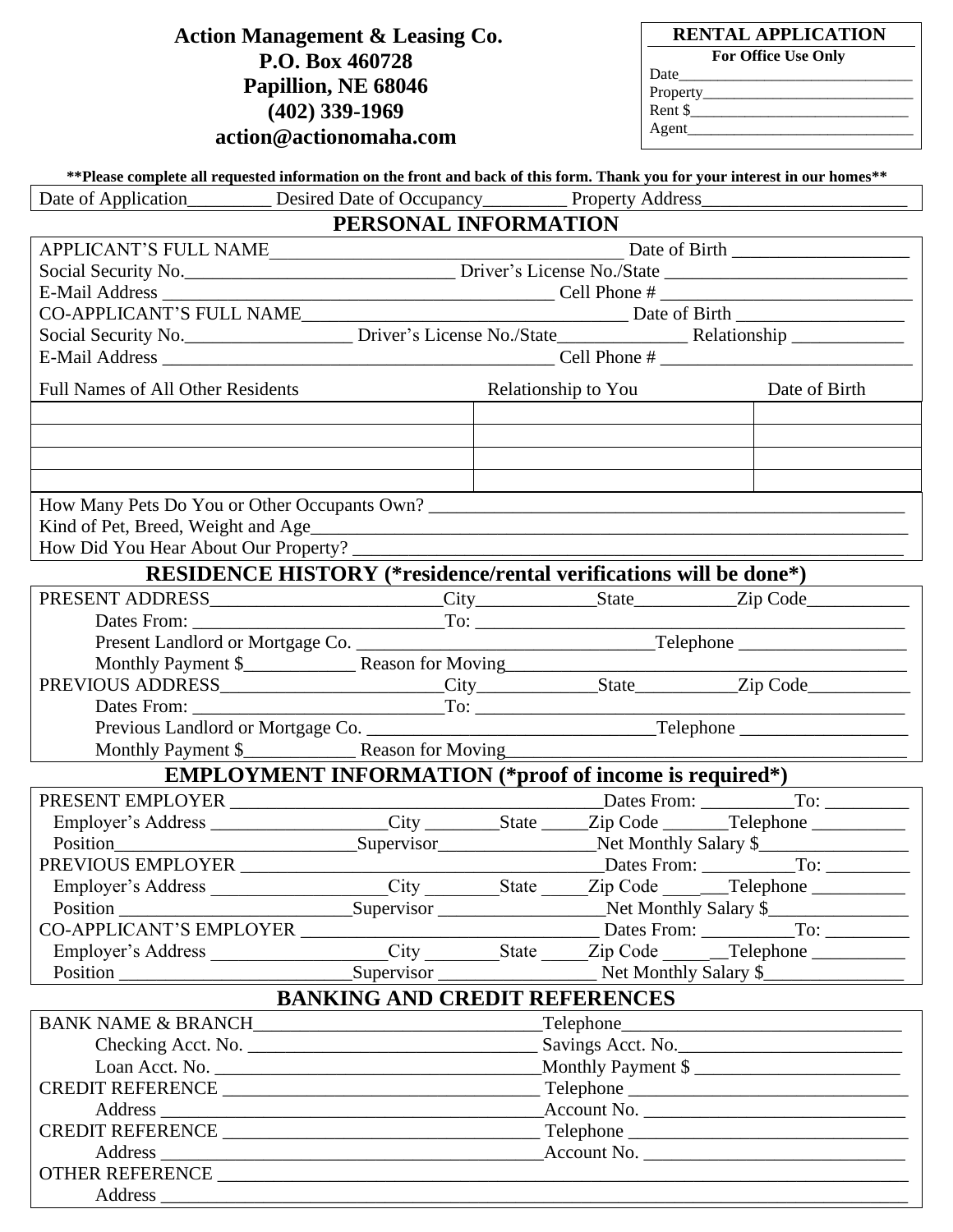# **Action Management & Leasing Co. P.O. Box 460728 Papillion, NE 68046 (402) 339-1969**

 **RENTAL APPLICATION**

| For Office Use Only |
|---------------------|
|                     |

| 'ronerty<br>$110 \mu$ |  |  |
|-----------------------|--|--|
|                       |  |  |

Rent \$ Agent\_\_\_\_\_\_\_\_\_\_\_\_\_\_\_\_\_\_\_\_\_\_\_\_\_\_\_\_\_

Date\_

| action@actionomaha.com                                                                                                                                                                                                                        |                                                                                                                                        |  |  |                                              |  |
|-----------------------------------------------------------------------------------------------------------------------------------------------------------------------------------------------------------------------------------------------|----------------------------------------------------------------------------------------------------------------------------------------|--|--|----------------------------------------------|--|
|                                                                                                                                                                                                                                               |                                                                                                                                        |  |  |                                              |  |
| ** Please complete all requested information on the front and back of this form. Thank you for your interest in our homes**<br>Date of Application___________ Desired Date of Occupancy___________ Property Address__________________________ |                                                                                                                                        |  |  |                                              |  |
|                                                                                                                                                                                                                                               | PERSONAL INFORMATION                                                                                                                   |  |  |                                              |  |
|                                                                                                                                                                                                                                               |                                                                                                                                        |  |  |                                              |  |
| APPLICANT'S FULL NAME                                                                                                                                                                                                                         |                                                                                                                                        |  |  |                                              |  |
|                                                                                                                                                                                                                                               | Social Security No. 1990. Contact Diver's License No. /State 1991. 2010. 2010. Contact 2010. 2010. 2010. 2010                          |  |  |                                              |  |
|                                                                                                                                                                                                                                               |                                                                                                                                        |  |  |                                              |  |
|                                                                                                                                                                                                                                               | Social Security No. ________________________ Driver's License No./State_____________________________ Relationship ____________________ |  |  |                                              |  |
|                                                                                                                                                                                                                                               |                                                                                                                                        |  |  |                                              |  |
|                                                                                                                                                                                                                                               |                                                                                                                                        |  |  |                                              |  |
| <b>Full Names of All Other Residents</b>                                                                                                                                                                                                      |                                                                                                                                        |  |  | Relationship to You Date of Birth            |  |
|                                                                                                                                                                                                                                               |                                                                                                                                        |  |  |                                              |  |
|                                                                                                                                                                                                                                               |                                                                                                                                        |  |  |                                              |  |
|                                                                                                                                                                                                                                               |                                                                                                                                        |  |  |                                              |  |
|                                                                                                                                                                                                                                               |                                                                                                                                        |  |  |                                              |  |
|                                                                                                                                                                                                                                               |                                                                                                                                        |  |  |                                              |  |
|                                                                                                                                                                                                                                               |                                                                                                                                        |  |  |                                              |  |
| How Did You Hear About Our Property?                                                                                                                                                                                                          |                                                                                                                                        |  |  |                                              |  |
| <b>RESIDENCE HISTORY</b> (*residence/rental verifications will be done*)                                                                                                                                                                      |                                                                                                                                        |  |  |                                              |  |
|                                                                                                                                                                                                                                               |                                                                                                                                        |  |  |                                              |  |
|                                                                                                                                                                                                                                               |                                                                                                                                        |  |  |                                              |  |
|                                                                                                                                                                                                                                               |                                                                                                                                        |  |  |                                              |  |
| Monthly Payment \$<br>PREVIOUS ADDRESS<br>PREVIOUS ADDRESS<br>City Code City Code City Code City Code City Code City Code City Code City Code City Code City Code City Code City Code City Code City Code City Code City Code City Co         |                                                                                                                                        |  |  |                                              |  |
|                                                                                                                                                                                                                                               |                                                                                                                                        |  |  |                                              |  |
|                                                                                                                                                                                                                                               |                                                                                                                                        |  |  |                                              |  |
|                                                                                                                                                                                                                                               |                                                                                                                                        |  |  |                                              |  |
|                                                                                                                                                                                                                                               |                                                                                                                                        |  |  |                                              |  |
| <b>EMPLOYMENT INFORMATION</b> (*proof of income is required*)                                                                                                                                                                                 |                                                                                                                                        |  |  |                                              |  |
| PRESENT EMPLOYER                                                                                                                                                                                                                              |                                                                                                                                        |  |  |                                              |  |
|                                                                                                                                                                                                                                               |                                                                                                                                        |  |  |                                              |  |
|                                                                                                                                                                                                                                               |                                                                                                                                        |  |  |                                              |  |
|                                                                                                                                                                                                                                               |                                                                                                                                        |  |  |                                              |  |
|                                                                                                                                                                                                                                               |                                                                                                                                        |  |  |                                              |  |
|                                                                                                                                                                                                                                               |                                                                                                                                        |  |  |                                              |  |
|                                                                                                                                                                                                                                               |                                                                                                                                        |  |  |                                              |  |
|                                                                                                                                                                                                                                               |                                                                                                                                        |  |  |                                              |  |
| Position Supervisor Net Monthly Salary \$<br><b>BANKING AND CREDIT REFERENCES</b>                                                                                                                                                             |                                                                                                                                        |  |  |                                              |  |
|                                                                                                                                                                                                                                               |                                                                                                                                        |  |  | $\text{Telephone} \qquad \qquad \text{True}$ |  |
|                                                                                                                                                                                                                                               |                                                                                                                                        |  |  |                                              |  |
|                                                                                                                                                                                                                                               | Savings Acct. No.<br>Monthly Payment \$                                                                                                |  |  |                                              |  |
|                                                                                                                                                                                                                                               |                                                                                                                                        |  |  |                                              |  |
|                                                                                                                                                                                                                                               |                                                                                                                                        |  |  |                                              |  |
|                                                                                                                                                                                                                                               |                                                                                                                                        |  |  |                                              |  |
|                                                                                                                                                                                                                                               |                                                                                                                                        |  |  |                                              |  |
|                                                                                                                                                                                                                                               |                                                                                                                                        |  |  |                                              |  |
|                                                                                                                                                                                                                                               |                                                                                                                                        |  |  |                                              |  |